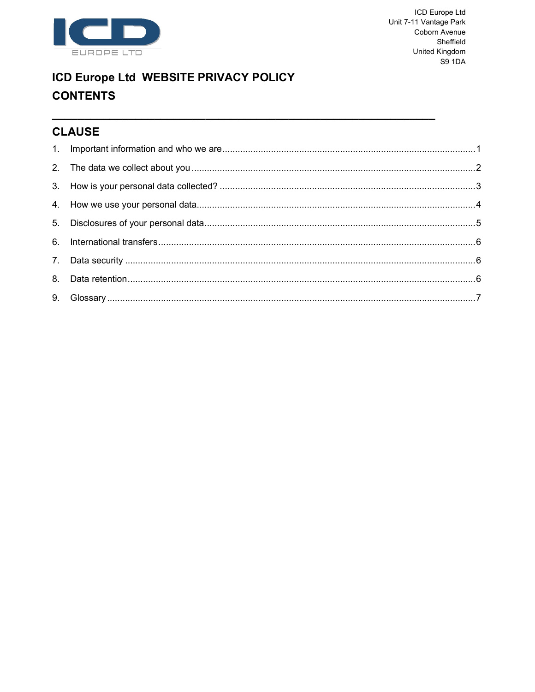

# ICD Europe Ltd WEBSITE PRIVACY POLICY **CONTENTS**

## **CLAUSE**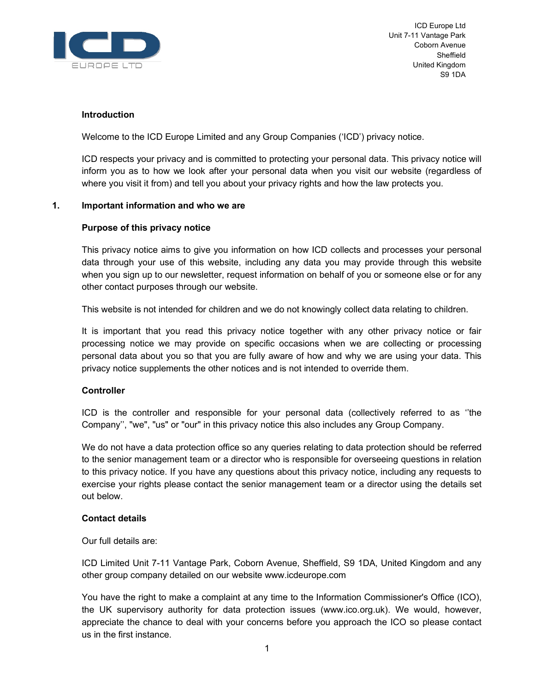

## Introduction

Welcome to the ICD Europe Limited and any Group Companies ('ICD') privacy notice.

ICD respects your privacy and is committed to protecting your personal data. This privacy notice will inform you as to how we look after your personal data when you visit our website (regardless of where you visit it from) and tell you about your privacy rights and how the law protects you.

## 1. Important information and who we are

## Purpose of this privacy notice

This privacy notice aims to give you information on how ICD collects and processes your personal data through your use of this website, including any data you may provide through this website when you sign up to our newsletter, request information on behalf of you or someone else or for any other contact purposes through our website.

This website is not intended for children and we do not knowingly collect data relating to children.

It is important that you read this privacy notice together with any other privacy notice or fair processing notice we may provide on specific occasions when we are collecting or processing personal data about you so that you are fully aware of how and why we are using your data. This privacy notice supplements the other notices and is not intended to override them.

## **Controller**

ICD is the controller and responsible for your personal data (collectively referred to as ''the Company'', "we", "us" or "our" in this privacy notice this also includes any Group Company.

We do not have a data protection office so any queries relating to data protection should be referred to the senior management team or a director who is responsible for overseeing questions in relation to this privacy notice. If you have any questions about this privacy notice, including any requests to exercise your rights please contact the senior management team or a director using the details set out below.

## Contact details

Our full details are:

ICD Limited Unit 7-11 Vantage Park, Coborn Avenue, Sheffield, S9 1DA, United Kingdom and any other group company detailed on our website www.icdeurope.com

You have the right to make a complaint at any time to the Information Commissioner's Office (ICO), the UK supervisory authority for data protection issues (www.ico.org.uk). We would, however, appreciate the chance to deal with your concerns before you approach the ICO so please contact us in the first instance.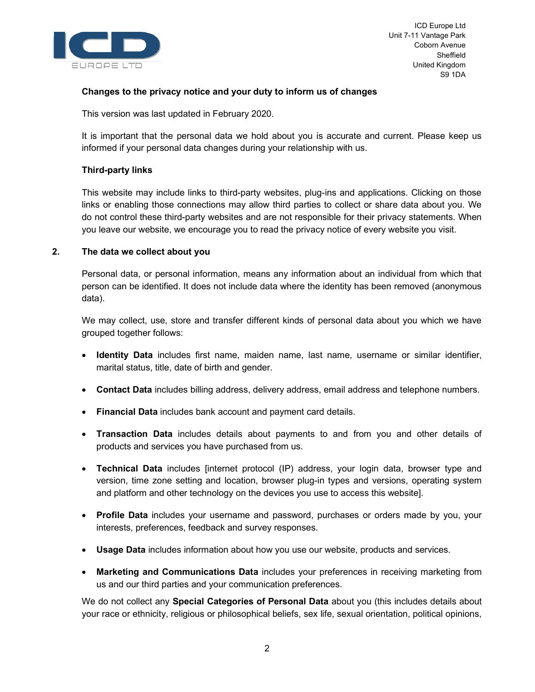

## Changes to the privacy notice and your duty to inform us of changes

This version was last updated in February 2020.

It is important that the personal data we hold about you is accurate and current. Please keep us informed if your personal data changes during your relationship with us.

## Third-party links

This website may include links to third-party websites, plug-ins and applications. Clicking on those links or enabling those connections may allow third parties to collect or share data about you. We do not control these third-party websites and are not responsible for their privacy statements. When you leave our website, we encourage you to read the privacy notice of every website you visit.

## 2. The data we collect about you

Personal data, or personal information, means any information about an individual from which that person can be identified. It does not include data where the identity has been removed (anonymous data).

We may collect, use, store and transfer different kinds of personal data about you which we have grouped together follows:

- **Identity Data** includes first name, maiden name, last name, username or similar identifier, marital status, title, date of birth and gender.
- Contact Data includes billing address, delivery address, email address and telephone numbers.
- **Financial Data** includes bank account and payment card details.
- Transaction Data includes details about payments to and from you and other details of products and services you have purchased from us.
- Technical Data includes [internet protocol (IP) address, your login data, browser type and version, time zone setting and location, browser plug-in types and versions, operating system and platform and other technology on the devices you use to access this website].
- Profile Data includes your username and password, purchases or orders made by you, your interests, preferences, feedback and survey responses.
- Usage Data includes information about how you use our website, products and services.
- Marketing and Communications Data includes your preferences in receiving marketing from us and our third parties and your communication preferences.

We do not collect any **Special Categories of Personal Data** about you (this includes details about your race or ethnicity, religious or philosophical beliefs, sex life, sexual orientation, political opinions,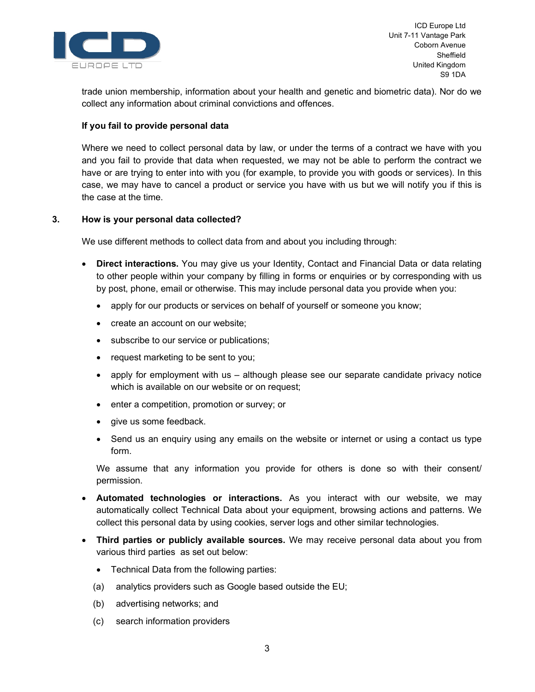

trade union membership, information about your health and genetic and biometric data). Nor do we collect any information about criminal convictions and offences.

## If you fail to provide personal data

Where we need to collect personal data by law, or under the terms of a contract we have with you and you fail to provide that data when requested, we may not be able to perform the contract we have or are trying to enter into with you (for example, to provide you with goods or services). In this case, we may have to cancel a product or service you have with us but we will notify you if this is the case at the time.

## 3. How is your personal data collected?

We use different methods to collect data from and about you including through:

- Direct interactions. You may give us your Identity, Contact and Financial Data or data relating to other people within your company by filling in forms or enquiries or by corresponding with us by post, phone, email or otherwise. This may include personal data you provide when you:
	- apply for our products or services on behalf of yourself or someone you know;
	- create an account on our website;
	- subscribe to our service or publications;
	- request marketing to be sent to you;
	- apply for employment with us although please see our separate candidate privacy notice which is available on our website or on request;
	- enter a competition, promotion or survey; or
	- give us some feedback.
	- Send us an enquiry using any emails on the website or internet or using a contact us type form.

We assume that any information you provide for others is done so with their consent/ permission.

- Automated technologies or interactions. As you interact with our website, we may automatically collect Technical Data about your equipment, browsing actions and patterns. We collect this personal data by using cookies, server logs and other similar technologies.
- Third parties or publicly available sources. We may receive personal data about you from various third parties as set out below:
	- Technical Data from the following parties:
	- (a) analytics providers such as Google based outside the EU;
	- (b) advertising networks; and
	- (c) search information providers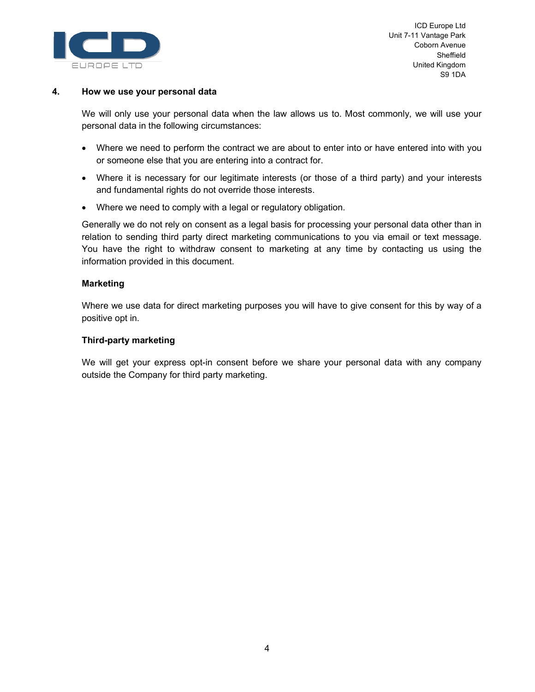

## 4. How we use your personal data

We will only use your personal data when the law allows us to. Most commonly, we will use your personal data in the following circumstances:

- Where we need to perform the contract we are about to enter into or have entered into with you or someone else that you are entering into a contract for.
- Where it is necessary for our legitimate interests (or those of a third party) and your interests and fundamental rights do not override those interests.
- Where we need to comply with a legal or regulatory obligation.

Generally we do not rely on consent as a legal basis for processing your personal data other than in relation to sending third party direct marketing communications to you via email or text message. You have the right to withdraw consent to marketing at any time by contacting us using the information provided in this document.

## Marketing

Where we use data for direct marketing purposes you will have to give consent for this by way of a positive opt in.

## Third-party marketing

We will get your express opt-in consent before we share your personal data with any company outside the Company for third party marketing.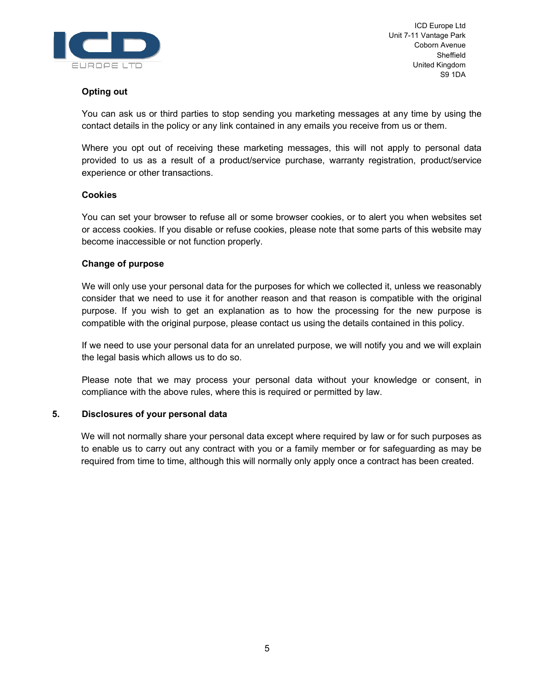

## Opting out

You can ask us or third parties to stop sending you marketing messages at any time by using the contact details in the policy or any link contained in any emails you receive from us or them.

Where you opt out of receiving these marketing messages, this will not apply to personal data provided to us as a result of a product/service purchase, warranty registration, product/service experience or other transactions.

## Cookies

You can set your browser to refuse all or some browser cookies, or to alert you when websites set or access cookies. If you disable or refuse cookies, please note that some parts of this website may become inaccessible or not function properly.

## Change of purpose

We will only use your personal data for the purposes for which we collected it, unless we reasonably consider that we need to use it for another reason and that reason is compatible with the original purpose. If you wish to get an explanation as to how the processing for the new purpose is compatible with the original purpose, please contact us using the details contained in this policy.

If we need to use your personal data for an unrelated purpose, we will notify you and we will explain the legal basis which allows us to do so.

Please note that we may process your personal data without your knowledge or consent, in compliance with the above rules, where this is required or permitted by law.

## 5. Disclosures of your personal data

We will not normally share your personal data except where required by law or for such purposes as to enable us to carry out any contract with you or a family member or for safeguarding as may be required from time to time, although this will normally only apply once a contract has been created.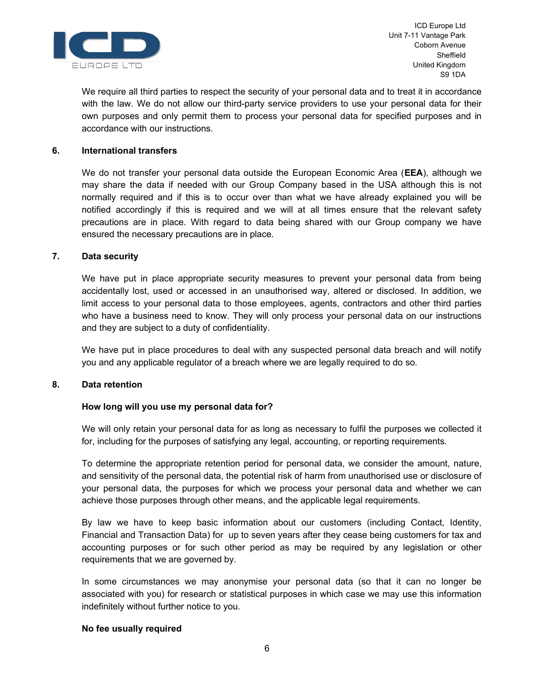

We require all third parties to respect the security of your personal data and to treat it in accordance with the law. We do not allow our third-party service providers to use your personal data for their own purposes and only permit them to process your personal data for specified purposes and in accordance with our instructions.

## 6. International transfers

We do not transfer your personal data outside the European Economic Area (EEA), although we may share the data if needed with our Group Company based in the USA although this is not normally required and if this is to occur over than what we have already explained you will be notified accordingly if this is required and we will at all times ensure that the relevant safety precautions are in place. With regard to data being shared with our Group company we have ensured the necessary precautions are in place.

#### 7. Data security

We have put in place appropriate security measures to prevent your personal data from being accidentally lost, used or accessed in an unauthorised way, altered or disclosed. In addition, we limit access to your personal data to those employees, agents, contractors and other third parties who have a business need to know. They will only process your personal data on our instructions and they are subject to a duty of confidentiality.

We have put in place procedures to deal with any suspected personal data breach and will notify you and any applicable regulator of a breach where we are legally required to do so.

## 8. Data retention

#### How long will you use my personal data for?

We will only retain your personal data for as long as necessary to fulfil the purposes we collected it for, including for the purposes of satisfying any legal, accounting, or reporting requirements.

To determine the appropriate retention period for personal data, we consider the amount, nature, and sensitivity of the personal data, the potential risk of harm from unauthorised use or disclosure of your personal data, the purposes for which we process your personal data and whether we can achieve those purposes through other means, and the applicable legal requirements.

By law we have to keep basic information about our customers (including Contact, Identity, Financial and Transaction Data) for up to seven years after they cease being customers for tax and accounting purposes or for such other period as may be required by any legislation or other requirements that we are governed by.

In some circumstances we may anonymise your personal data (so that it can no longer be associated with you) for research or statistical purposes in which case we may use this information indefinitely without further notice to you.

#### No fee usually required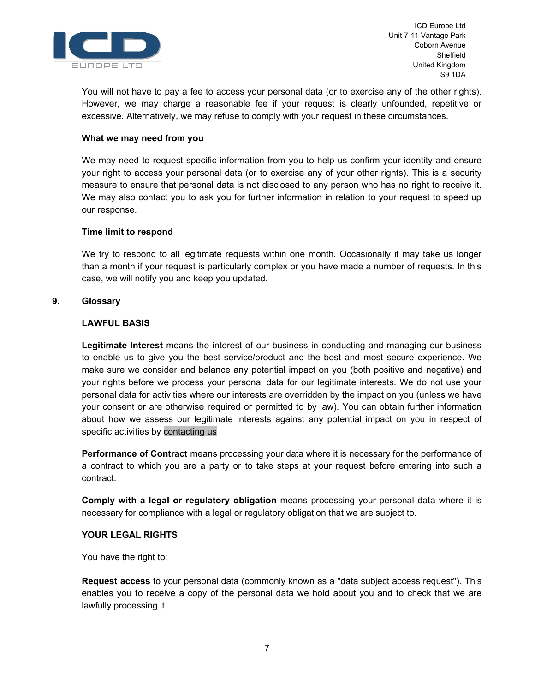

You will not have to pay a fee to access your personal data (or to exercise any of the other rights). However, we may charge a reasonable fee if your request is clearly unfounded, repetitive or excessive. Alternatively, we may refuse to comply with your request in these circumstances.

## What we may need from you

We may need to request specific information from you to help us confirm your identity and ensure your right to access your personal data (or to exercise any of your other rights). This is a security measure to ensure that personal data is not disclosed to any person who has no right to receive it. We may also contact you to ask you for further information in relation to your request to speed up our response.

## Time limit to respond

We try to respond to all legitimate requests within one month. Occasionally it may take us longer than a month if your request is particularly complex or you have made a number of requests. In this case, we will notify you and keep you updated.

## 9. Glossary

## LAWFUL BASIS

Legitimate Interest means the interest of our business in conducting and managing our business to enable us to give you the best service/product and the best and most secure experience. We make sure we consider and balance any potential impact on you (both positive and negative) and your rights before we process your personal data for our legitimate interests. We do not use your personal data for activities where our interests are overridden by the impact on you (unless we have your consent or are otherwise required or permitted to by law). You can obtain further information about how we assess our legitimate interests against any potential impact on you in respect of specific activities by contacting us

**Performance of Contract** means processing your data where it is necessary for the performance of a contract to which you are a party or to take steps at your request before entering into such a contract.

Comply with a legal or regulatory obligation means processing your personal data where it is necessary for compliance with a legal or regulatory obligation that we are subject to.

## YOUR LEGAL RIGHTS

You have the right to:

Request access to your personal data (commonly known as a "data subject access request"). This enables you to receive a copy of the personal data we hold about you and to check that we are lawfully processing it.